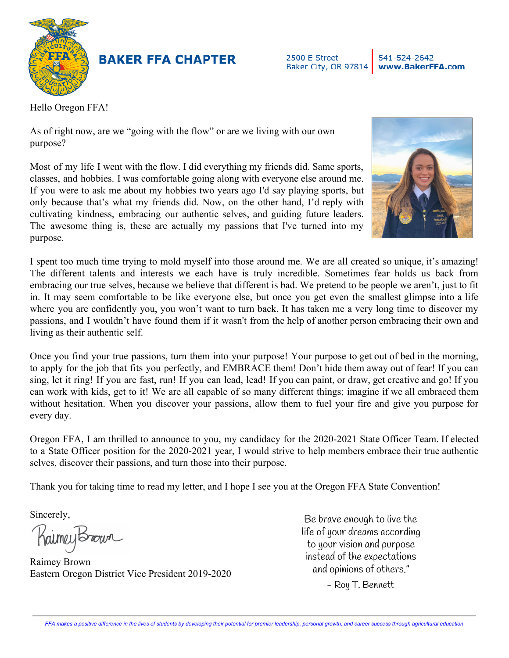

## **BAKER FFA CHAPTER**

2500 E Street 541-524-2642 Baker City, OR 97814 www.BakerFFA.com

Hello Oregon FFA!

As of right now, are we "going with the flow" or are we living with our own purpose?

Most of my life I went with the flow. I did everything my friends did. Same sports, classes, and hobbies. I was comfortable going along with everyone else around me. If you were to ask me about my hobbies two years ago I'd say playing sports, but only because that's what my friends did. Now, on the other hand, I'd reply with cultivating kindness, embracing our authentic selves, and guiding future leaders. The awesome thing is, these are actually my passions that I've turned into my purpose.



I spent too much time trying to mold myself into those around me. We are all created so unique, it's amazing! The different talents and interests we each have is truly incredible. Sometimes fear holds us back from embracing our true selves, because we believe that different is bad. We pretend to be people we aren't, just to fit in. It may seem comfortable to be like everyone else, but once you get even the smallest glimpse into a life where you are confidently you, you won't want to turn back. It has taken me a very long time to discover my passions, and I wouldn't have found them if it wasn't from the help of another person embracing their own and living as their authentic self.

Once you find your true passions, turn them into your purpose! Your purpose to get out of bed in the morning, to apply for the job that fits you perfectly, and EMBRACE them! Don't hide them away out of fear! If you can sing, let it ring! If you are fast, run! If you can lead, lead! If you can paint, or draw, get creative and go! If you can work with kids, get to it! We are all capable of so many different things; imagine if we all embraced them without hesitation. When you discover your passions, allow them to fuel your fire and give you purpose for every day.

Oregon FFA, I am thrilled to announce to you, my candidacy for the 2020-2021 State Officer Team. If elected to a State Officer position for the 2020-2021 year, I would strive to help members embrace their true authentic selves, discover their passions, and turn those into their purpose.

Thank you for taking time to read my letter, and I hope I see you at the Oregon FFA State Convention!

Sincerely,

RaimeyBrown

Raimey Brown Eastern Oregon District Vice President 2019-2020

Be brave enough to live the life of your dreams according to your vision and purpose instead of the expectations and opinions of others."

- Roy T. Bennett